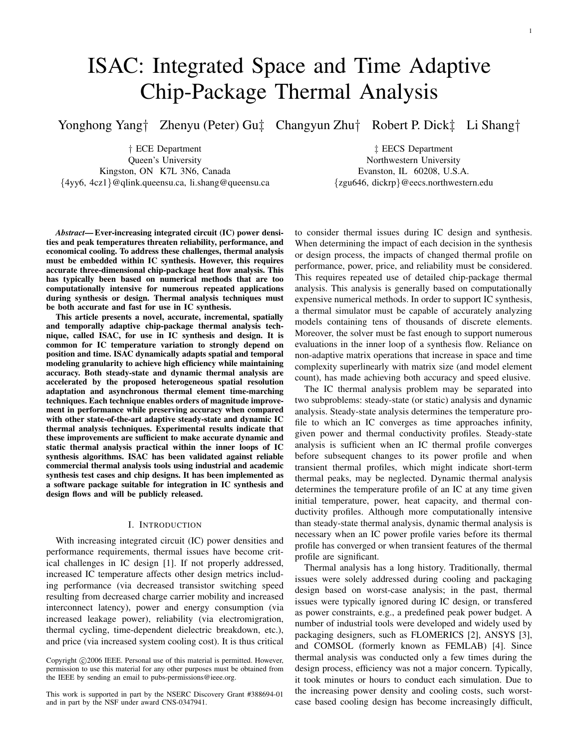# ISAC: Integrated Space and Time Adaptive Chip-Package Thermal Analysis

Yonghong Yang† Zhenyu (Peter) Gu‡ Changyun Zhu† Robert P. Dick‡ Li Shang†

† ECE Department Queen's University Kingston, ON K7L 3N6, Canada {4yy6, 4cz1}@qlink.queensu.ca, li.shang@queensu.ca

‡ EECS Department Northwestern University Evanston, IL 60208, U.S.A. {zgu646, dickrp}@eecs.northwestern.edu

*Abstract*— Ever-increasing integrated circuit (IC) power densities and peak temperatures threaten reliability, performance, and economical cooling. To address these challenges, thermal analysis must be embedded within IC synthesis. However, this requires accurate three-dimensional chip-package heat flow analysis. This has typically been based on numerical methods that are too computationally intensive for numerous repeated applications during synthesis or design. Thermal analysis techniques must be both accurate and fast for use in IC synthesis.

This article presents a novel, accurate, incremental, spatially and temporally adaptive chip-package thermal analysis technique, called ISAC, for use in IC synthesis and design. It is common for IC temperature variation to strongly depend on position and time. ISAC dynamically adapts spatial and temporal modeling granularity to achieve high efficiency while maintaining accuracy. Both steady-state and dynamic thermal analysis are accelerated by the proposed heterogeneous spatial resolution adaptation and asynchronous thermal element time-marching techniques. Each technique enables orders of magnitude improvement in performance while preserving accuracy when compared with other state-of-the-art adaptive steady-state and dynamic IC thermal analysis techniques. Experimental results indicate that these improvements are sufficient to make accurate dynamic and static thermal analysis practical within the inner loops of IC synthesis algorithms. ISAC has been validated against reliable commercial thermal analysis tools using industrial and academic synthesis test cases and chip designs. It has been implemented as a software package suitable for integration in IC synthesis and design flows and will be publicly released.

## I. INTRODUCTION

With increasing integrated circuit (IC) power densities and performance requirements, thermal issues have become critical challenges in IC design [1]. If not properly addressed, increased IC temperature affects other design metrics including performance (via decreased transistor switching speed resulting from decreased charge carrier mobility and increased interconnect latency), power and energy consumption (via increased leakage power), reliability (via electromigration, thermal cycling, time-dependent dielectric breakdown, etc.), and price (via increased system cooling cost). It is thus critical

to consider thermal issues during IC design and synthesis. When determining the impact of each decision in the synthesis or design process, the impacts of changed thermal profile on performance, power, price, and reliability must be considered. This requires repeated use of detailed chip-package thermal analysis. This analysis is generally based on computationally expensive numerical methods. In order to support IC synthesis, a thermal simulator must be capable of accurately analyzing models containing tens of thousands of discrete elements. Moreover, the solver must be fast enough to support numerous evaluations in the inner loop of a synthesis flow. Reliance on non-adaptive matrix operations that increase in space and time complexity superlinearly with matrix size (and model element count), has made achieving both accuracy and speed elusive.

The IC thermal analysis problem may be separated into two subproblems: steady-state (or static) analysis and dynamic analysis. Steady-state analysis determines the temperature profile to which an IC converges as time approaches infinity, given power and thermal conductivity profiles. Steady-state analysis is sufficient when an IC thermal profile converges before subsequent changes to its power profile and when transient thermal profiles, which might indicate short-term thermal peaks, may be neglected. Dynamic thermal analysis determines the temperature profile of an IC at any time given initial temperature, power, heat capacity, and thermal conductivity profiles. Although more computationally intensive than steady-state thermal analysis, dynamic thermal analysis is necessary when an IC power profile varies before its thermal profile has converged or when transient features of the thermal profile are significant.

Thermal analysis has a long history. Traditionally, thermal issues were solely addressed during cooling and packaging design based on worst-case analysis; in the past, thermal issues were typically ignored during IC design, or transfered as power constraints, e.g., a predefined peak power budget. A number of industrial tools were developed and widely used by packaging designers, such as FLOMERICS [2], ANSYS [3], and COMSOL (formerly known as FEMLAB) [4]. Since thermal analysis was conducted only a few times during the design process, efficiency was not a major concern. Typically, it took minutes or hours to conduct each simulation. Due to the increasing power density and cooling costs, such worstcase based cooling design has become increasingly difficult,

Copyright ©2006 IEEE. Personal use of this material is permitted. However, permission to use this material for any other purposes must be obtained from the IEEE by sending an email to pubs-permissions@ieee.org.

This work is supported in part by the NSERC Discovery Grant #388694-01 and in part by the NSF under award CNS-0347941.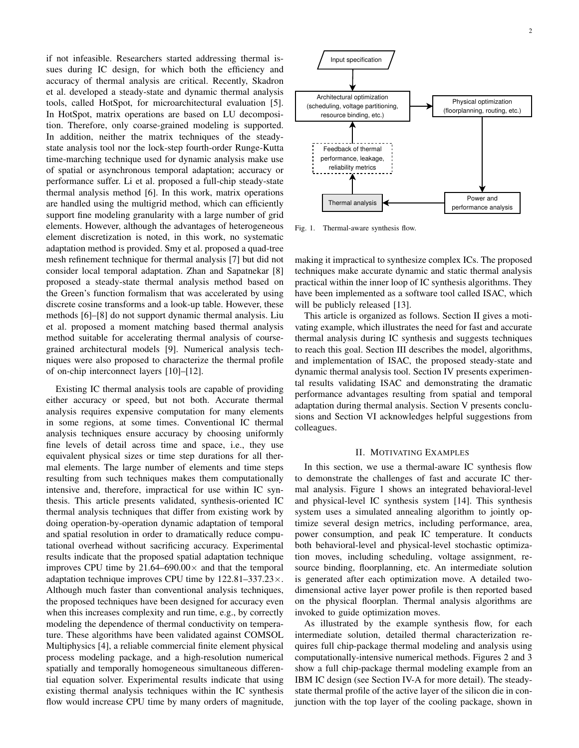if not infeasible. Researchers started addressing thermal issues during IC design, for which both the efficiency and accuracy of thermal analysis are critical. Recently, Skadron et al. developed a steady-state and dynamic thermal analysis tools, called HotSpot, for microarchitectural evaluation [5]. In HotSpot, matrix operations are based on LU decomposition. Therefore, only coarse-grained modeling is supported. In addition, neither the matrix techniques of the steadystate analysis tool nor the lock-step fourth-order Runge-Kutta time-marching technique used for dynamic analysis make use of spatial or asynchronous temporal adaptation; accuracy or performance suffer. Li et al. proposed a full-chip steady-state thermal analysis method [6]. In this work, matrix operations are handled using the multigrid method, which can efficiently support fine modeling granularity with a large number of grid elements. However, although the advantages of heterogeneous element discretization is noted, in this work, no systematic adaptation method is provided. Smy et al. proposed a quad-tree mesh refinement technique for thermal analysis [7] but did not consider local temporal adaptation. Zhan and Sapatnekar [8] proposed a steady-state thermal analysis method based on the Green's function formalism that was accelerated by using discrete cosine transforms and a look-up table. However, these methods [6]–[8] do not support dynamic thermal analysis. Liu et al. proposed a moment matching based thermal analysis method suitable for accelerating thermal analysis of coursegrained architectural models [9]. Numerical analysis techniques were also proposed to characterize the thermal profile of on-chip interconnect layers [10]–[12].

Existing IC thermal analysis tools are capable of providing either accuracy or speed, but not both. Accurate thermal analysis requires expensive computation for many elements in some regions, at some times. Conventional IC thermal analysis techniques ensure accuracy by choosing uniformly fine levels of detail across time and space, i.e., they use equivalent physical sizes or time step durations for all thermal elements. The large number of elements and time steps resulting from such techniques makes them computationally intensive and, therefore, impractical for use within IC synthesis. This article presents validated, synthesis-oriented IC thermal analysis techniques that differ from existing work by doing operation-by-operation dynamic adaptation of temporal and spatial resolution in order to dramatically reduce computational overhead without sacrificing accuracy. Experimental results indicate that the proposed spatial adaptation technique improves CPU time by  $21.64-690.00\times$  and that the temporal adaptation technique improves CPU time by 122.81–337.23×. Although much faster than conventional analysis techniques, the proposed techniques have been designed for accuracy even when this increases complexity and run time, e.g., by correctly modeling the dependence of thermal conductivity on temperature. These algorithms have been validated against COMSOL Multiphysics [4], a reliable commercial finite element physical process modeling package, and a high-resolution numerical spatially and temporally homogeneous simultaneous differential equation solver. Experimental results indicate that using existing thermal analysis techniques within the IC synthesis flow would increase CPU time by many orders of magnitude,



Fig. 1. Thermal-aware synthesis flow.

making it impractical to synthesize complex ICs. The proposed techniques make accurate dynamic and static thermal analysis practical within the inner loop of IC synthesis algorithms. They have been implemented as a software tool called ISAC, which will be publicly released [13].

This article is organized as follows. Section II gives a motivating example, which illustrates the need for fast and accurate thermal analysis during IC synthesis and suggests techniques to reach this goal. Section III describes the model, algorithms, and implementation of ISAC, the proposed steady-state and dynamic thermal analysis tool. Section IV presents experimental results validating ISAC and demonstrating the dramatic performance advantages resulting from spatial and temporal adaptation during thermal analysis. Section V presents conclusions and Section VI acknowledges helpful suggestions from colleagues.

# II. MOTIVATING EXAMPLES

In this section, we use a thermal-aware IC synthesis flow to demonstrate the challenges of fast and accurate IC thermal analysis. Figure 1 shows an integrated behavioral-level and physical-level IC synthesis system [14]. This synthesis system uses a simulated annealing algorithm to jointly optimize several design metrics, including performance, area, power consumption, and peak IC temperature. It conducts both behavioral-level and physical-level stochastic optimization moves, including scheduling, voltage assignment, resource binding, floorplanning, etc. An intermediate solution is generated after each optimization move. A detailed twodimensional active layer power profile is then reported based on the physical floorplan. Thermal analysis algorithms are invoked to guide optimization moves.

As illustrated by the example synthesis flow, for each intermediate solution, detailed thermal characterization requires full chip-package thermal modeling and analysis using computationally-intensive numerical methods. Figures 2 and 3 show a full chip-package thermal modeling example from an IBM IC design (see Section IV-A for more detail). The steadystate thermal profile of the active layer of the silicon die in conjunction with the top layer of the cooling package, shown in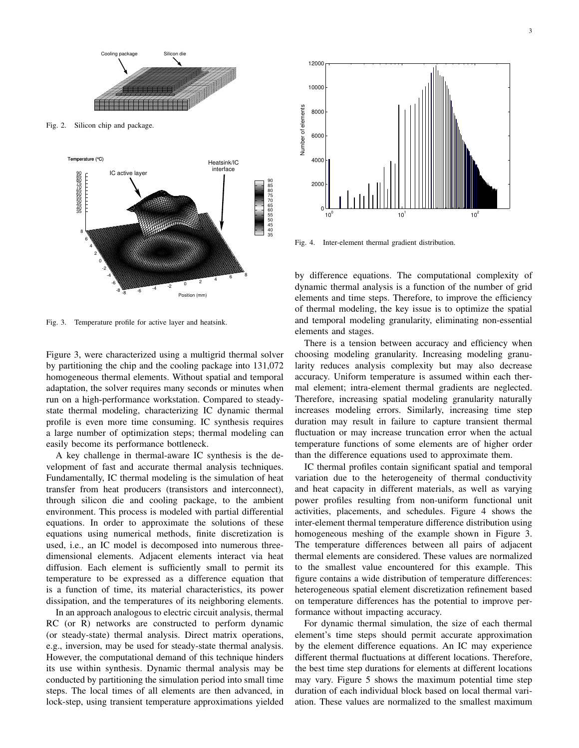

Fig. 2. Silicon chip and package.



Fig. 3. Temperature profile for active layer and heatsink.

Figure 3, were characterized using a multigrid thermal solver by partitioning the chip and the cooling package into 131,072 homogeneous thermal elements. Without spatial and temporal adaptation, the solver requires many seconds or minutes when run on a high-performance workstation. Compared to steadystate thermal modeling, characterizing IC dynamic thermal profile is even more time consuming. IC synthesis requires a large number of optimization steps; thermal modeling can easily become its performance bottleneck.

A key challenge in thermal-aware IC synthesis is the development of fast and accurate thermal analysis techniques. Fundamentally, IC thermal modeling is the simulation of heat transfer from heat producers (transistors and interconnect), through silicon die and cooling package, to the ambient environment. This process is modeled with partial differential equations. In order to approximate the solutions of these equations using numerical methods, finite discretization is used, i.e., an IC model is decomposed into numerous threedimensional elements. Adjacent elements interact via heat diffusion. Each element is sufficiently small to permit its temperature to be expressed as a difference equation that is a function of time, its material characteristics, its power dissipation, and the temperatures of its neighboring elements.

In an approach analogous to electric circuit analysis, thermal RC (or R) networks are constructed to perform dynamic (or steady-state) thermal analysis. Direct matrix operations, e.g., inversion, may be used for steady-state thermal analysis. However, the computational demand of this technique hinders its use within synthesis. Dynamic thermal analysis may be conducted by partitioning the simulation period into small time steps. The local times of all elements are then advanced, in lock-step, using transient temperature approximations yielded



Fig. 4. Inter-element thermal gradient distribution.

by difference equations. The computational complexity of dynamic thermal analysis is a function of the number of grid elements and time steps. Therefore, to improve the efficiency of thermal modeling, the key issue is to optimize the spatial and temporal modeling granularity, eliminating non-essential elements and stages.

There is a tension between accuracy and efficiency when choosing modeling granularity. Increasing modeling granularity reduces analysis complexity but may also decrease accuracy. Uniform temperature is assumed within each thermal element; intra-element thermal gradients are neglected. Therefore, increasing spatial modeling granularity naturally increases modeling errors. Similarly, increasing time step duration may result in failure to capture transient thermal fluctuation or may increase truncation error when the actual temperature functions of some elements are of higher order than the difference equations used to approximate them.

IC thermal profiles contain significant spatial and temporal variation due to the heterogeneity of thermal conductivity and heat capacity in different materials, as well as varying power profiles resulting from non-uniform functional unit activities, placements, and schedules. Figure 4 shows the inter-element thermal temperature difference distribution using homogeneous meshing of the example shown in Figure 3. The temperature differences between all pairs of adjacent thermal elements are considered. These values are normalized to the smallest value encountered for this example. This figure contains a wide distribution of temperature differences: heterogeneous spatial element discretization refinement based on temperature differences has the potential to improve performance without impacting accuracy.

For dynamic thermal simulation, the size of each thermal element's time steps should permit accurate approximation by the element difference equations. An IC may experience different thermal fluctuations at different locations. Therefore, the best time step durations for elements at different locations may vary. Figure 5 shows the maximum potential time step duration of each individual block based on local thermal variation. These values are normalized to the smallest maximum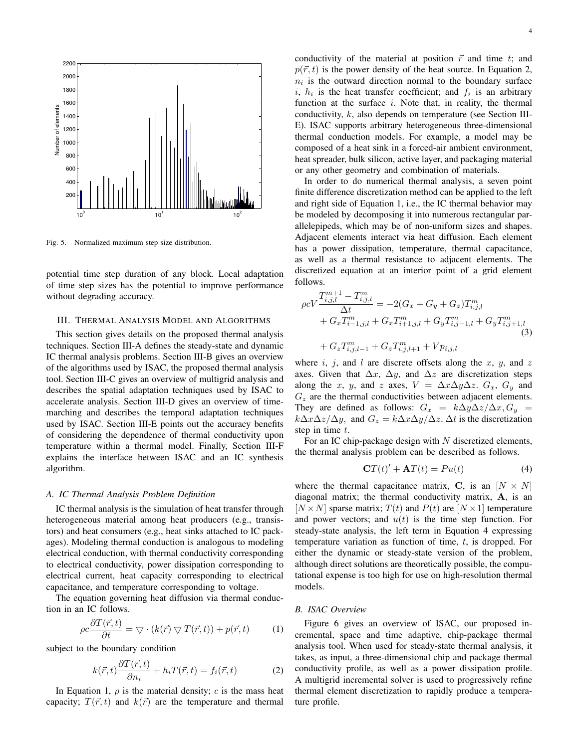

Fig. 5. Normalized maximum step size distribution.

potential time step duration of any block. Local adaptation of time step sizes has the potential to improve performance without degrading accuracy.

## III. THERMAL ANALYSIS MODEL AND ALGORITHMS

This section gives details on the proposed thermal analysis techniques. Section III-A defines the steady-state and dynamic IC thermal analysis problems. Section III-B gives an overview of the algorithms used by ISAC, the proposed thermal analysis tool. Section III-C gives an overview of multigrid analysis and describes the spatial adaptation techniques used by ISAC to accelerate analysis. Section III-D gives an overview of timemarching and describes the temporal adaptation techniques used by ISAC. Section III-E points out the accuracy benefits of considering the dependence of thermal conductivity upon temperature within a thermal model. Finally, Section III-F explains the interface between ISAC and an IC synthesis algorithm.

## *A. IC Thermal Analysis Problem Definition*

IC thermal analysis is the simulation of heat transfer through heterogeneous material among heat producers (e.g., transistors) and heat consumers (e.g., heat sinks attached to IC packages). Modeling thermal conduction is analogous to modeling electrical conduction, with thermal conductivity corresponding to electrical conductivity, power dissipation corresponding to electrical current, heat capacity corresponding to electrical capacitance, and temperature corresponding to voltage.

The equation governing heat diffusion via thermal conduction in an IC follows.

$$
\rho c \frac{\partial T(\vec{r},t)}{\partial t} = \nabla \cdot (k(\vec{r}) \nabla T(\vec{r},t)) + p(\vec{r},t)
$$
 (1)

subject to the boundary condition

$$
k(\vec{r},t)\frac{\partial T(\vec{r},t)}{\partial n_i} + h_i T(\vec{r},t) = f_i(\vec{r},t)
$$
 (2)

In Equation 1,  $\rho$  is the material density; c is the mass heat capacity;  $T(\vec{r}, t)$  and  $k(\vec{r})$  are the temperature and thermal conductivity of the material at position  $\vec{r}$  and time t; and  $p(\vec{r}, t)$  is the power density of the heat source. In Equation 2,  $n_i$  is the outward direction normal to the boundary surface i,  $h_i$  is the heat transfer coefficient; and  $f_i$  is an arbitrary function at the surface i. Note that, in reality, the thermal conductivity,  $k$ , also depends on temperature (see Section III-E). ISAC supports arbitrary heterogeneous three-dimensional thermal conduction models. For example, a model may be composed of a heat sink in a forced-air ambient environment, heat spreader, bulk silicon, active layer, and packaging material or any other geometry and combination of materials.

In order to do numerical thermal analysis, a seven point finite difference discretization method can be applied to the left and right side of Equation 1, i.e., the IC thermal behavior may be modeled by decomposing it into numerous rectangular parallelepipeds, which may be of non-uniform sizes and shapes. Adjacent elements interact via heat diffusion. Each element has a power dissipation, temperature, thermal capacitance, as well as a thermal resistance to adjacent elements. The discretized equation at an interior point of a grid element follows.

$$
\rho c V \frac{T_{i,j,l}^{m+1} - T_{i,j,l}^m}{\Delta t} = -2(G_x + G_y + G_z) T_{i,j,l}^m
$$
  
+  $G_x T_{i-1,j,l}^m + G_x T_{i+1,j,l}^m + G_y T_{i,j-1,l}^m + G_y T_{i,j+1,l}^m$   
+  $G_z T_{i,j,l-1}^m + G_z T_{i,j,l+1}^m + V p_{i,j,l}$  (3)

where  $i, j$ , and  $l$  are discrete offsets along the  $x, y$ , and  $z$ axes. Given that  $\Delta x$ ,  $\Delta y$ , and  $\Delta z$  are discretization steps along the x, y, and z axes,  $V = \Delta x \Delta y \Delta z$ .  $G_x$ ,  $G_y$  and  $G<sub>z</sub>$  are the thermal conductivities between adjacent elements. They are defined as follows:  $G_x = k\Delta y \Delta z / \Delta x$ ,  $G_y =$  $k\Delta x\Delta z/\Delta y$ , and  $G_z = k\Delta x\Delta y/\Delta z$ .  $\Delta t$  is the discretization step in time  $t$ .

For an IC chip-package design with  $N$  discretized elements, the thermal analysis problem can be described as follows.

$$
\mathbf{C}T(t)' + \mathbf{A}T(t) = Pu(t)
$$
 (4)

where the thermal capacitance matrix, C, is an  $[N \times N]$ diagonal matrix; the thermal conductivity matrix, A, is an  $[N \times N]$  sparse matrix;  $T(t)$  and  $P(t)$  are  $[N \times 1]$  temperature and power vectors; and  $u(t)$  is the time step function. For steady-state analysis, the left term in Equation 4 expressing temperature variation as function of time,  $t$ , is dropped. For either the dynamic or steady-state version of the problem, although direct solutions are theoretically possible, the computational expense is too high for use on high-resolution thermal models.

# *B. ISAC Overview*

Figure 6 gives an overview of ISAC, our proposed incremental, space and time adaptive, chip-package thermal analysis tool. When used for steady-state thermal analysis, it takes, as input, a three-dimensional chip and package thermal conductivity profile, as well as a power dissipation profile. A multigrid incremental solver is used to progressively refine thermal element discretization to rapidly produce a temperature profile.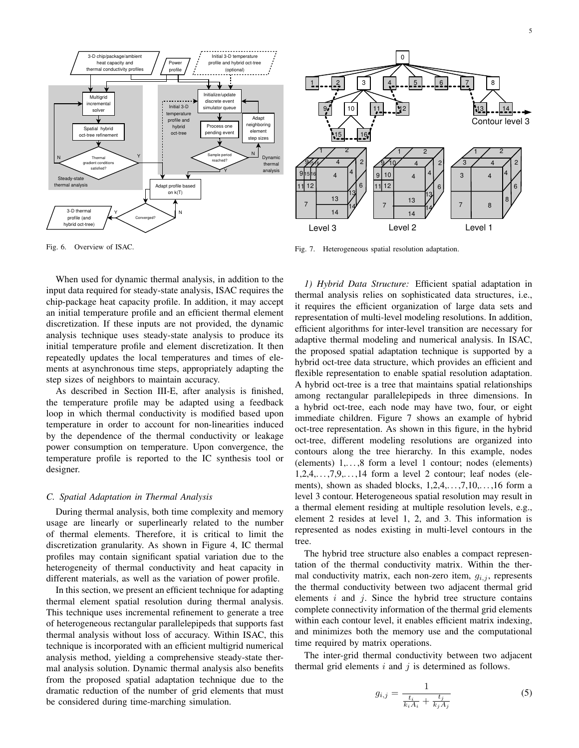

Fig. 6. Overview of ISAC.

When used for dynamic thermal analysis, in addition to the input data required for steady-state analysis, ISAC requires the chip-package heat capacity profile. In addition, it may accept an initial temperature profile and an efficient thermal element discretization. If these inputs are not provided, the dynamic analysis technique uses steady-state analysis to produce its initial temperature profile and element discretization. It then repeatedly updates the local temperatures and times of elements at asynchronous time steps, appropriately adapting the step sizes of neighbors to maintain accuracy.

As described in Section III-E, after analysis is finished, the temperature profile may be adapted using a feedback loop in which thermal conductivity is modified based upon temperature in order to account for non-linearities induced by the dependence of the thermal conductivity or leakage power consumption on temperature. Upon convergence, the temperature profile is reported to the IC synthesis tool or designer.

## *C. Spatial Adaptation in Thermal Analysis*

During thermal analysis, both time complexity and memory usage are linearly or superlinearly related to the number of thermal elements. Therefore, it is critical to limit the discretization granularity. As shown in Figure 4, IC thermal profiles may contain significant spatial variation due to the heterogeneity of thermal conductivity and heat capacity in different materials, as well as the variation of power profile.

In this section, we present an efficient technique for adapting thermal element spatial resolution during thermal analysis. This technique uses incremental refinement to generate a tree of heterogeneous rectangular parallelepipeds that supports fast thermal analysis without loss of accuracy. Within ISAC, this technique is incorporated with an efficient multigrid numerical analysis method, yielding a comprehensive steady-state thermal analysis solution. Dynamic thermal analysis also benefits from the proposed spatial adaptation technique due to the dramatic reduction of the number of grid elements that must be considered during time-marching simulation.



Fig. 7. Heterogeneous spatial resolution adaptation.

*1) Hybrid Data Structure:* Efficient spatial adaptation in thermal analysis relies on sophisticated data structures, i.e., it requires the efficient organization of large data sets and representation of multi-level modeling resolutions. In addition, efficient algorithms for inter-level transition are necessary for adaptive thermal modeling and numerical analysis. In ISAC, the proposed spatial adaptation technique is supported by a hybrid oct-tree data structure, which provides an efficient and flexible representation to enable spatial resolution adaptation. A hybrid oct-tree is a tree that maintains spatial relationships among rectangular parallelepipeds in three dimensions. In a hybrid oct-tree, each node may have two, four, or eight immediate children. Figure 7 shows an example of hybrid oct-tree representation. As shown in this figure, in the hybrid oct-tree, different modeling resolutions are organized into contours along the tree hierarchy. In this example, nodes (elements) 1,. . . ,8 form a level 1 contour; nodes (elements)  $1,2,4,\ldots,7,9,\ldots,14$  form a level 2 contour; leaf nodes (elements), shown as shaded blocks,  $1,2,4,\ldots,7,10,\ldots,16$  form a level 3 contour. Heterogeneous spatial resolution may result in a thermal element residing at multiple resolution levels, e.g., element 2 resides at level 1, 2, and 3. This information is represented as nodes existing in multi-level contours in the tree.

The hybrid tree structure also enables a compact representation of the thermal conductivity matrix. Within the thermal conductivity matrix, each non-zero item,  $g_{i,j}$ , represents the thermal conductivity between two adjacent thermal grid elements  $i$  and  $j$ . Since the hybrid tree structure contains complete connectivity information of the thermal grid elements within each contour level, it enables efficient matrix indexing, and minimizes both the memory use and the computational time required by matrix operations.

The inter-grid thermal conductivity between two adjacent thermal grid elements  $i$  and  $j$  is determined as follows.

$$
g_{i,j} = \frac{1}{\frac{t_i}{k_i A_i} + \frac{t_j}{k_j A_j}}
$$
(5)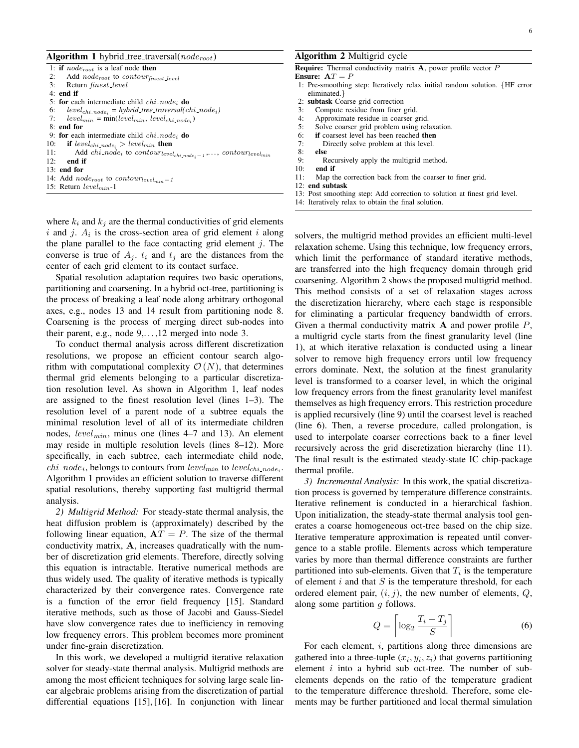# Algorithm 1 hybrid\_tree\_traversal( $node_{root}$ )

| 1: if <i>noderoot</i> is a leaf node then                                                    |
|----------------------------------------------------------------------------------------------|
| 2: Add $node_{root}$ to $contour_{finest\_level}$                                            |
| 3: Return <i>finest_level</i>                                                                |
| $4:$ end if                                                                                  |
| 5: for each intermediate child $chi\_node$ , do                                              |
| 6: $level_{chi\_node_i}$ = hybrid_tree_traversal(chi_node <sub>i</sub> )                     |
| 7: $level_{min} = min(level_{min}, level_{chi\_node})$                                       |
| $8:$ end for                                                                                 |
| 9: for each intermediate child $chi\_node_i$ do                                              |
| 10: if $level_{chi\_node_i} > level_{min}$ then                                              |
| 11: Add $chi\_node_i$ to $contour_{level_{chi\_node_i-1}}, \ldots$ , $contour_{level_{min}}$ |
| $12:$ end if                                                                                 |
| $13:$ end for                                                                                |
| 14: Add node <sub>root</sub> to contour <sub>level<sub>min</sub>-1</sub>                     |
| 15: Return $level_{min}$ -1                                                                  |

| <b>Algorithm 2</b> Multigrid cycle                                         |  |
|----------------------------------------------------------------------------|--|
| <b>Require:</b> Thermal conductivity matrix $A$ , power profile vector $P$ |  |

Ensure:  $AT = P$ 

- 1: Pre-smoothing step: Iteratively relax initial random solution. {HF error eliminated.}
- 2: subtask Coarse grid correction
- 3: Compute residue from finer grid.
- 4: Approximate residue in coarser grid.
- 5: Solve coarser grid problem using relaxation.<br>6: **if** coarsest level has been reached **then**
- 6: **if** coarsest level has been reached **then**  $7$  Directly solve problem at this level
- Directly solve problem at this level.
- 8: else
- 9: Recursively apply the multigrid method.
- 10: end if
- 11: Map the correction back from the coarser to finer grid.
- 12: end subtask
- 13: Post smoothing step: Add correction to solution at finest grid level.
- 14: Iteratively relax to obtain the final solution.

where  $k_i$  and  $k_j$  are the thermal conductivities of grid elements i and j.  $A_i$  is the cross-section area of grid element i along the plane parallel to the face contacting grid element  $j$ . The converse is true of  $A_i$ ,  $t_i$  and  $t_j$  are the distances from the center of each grid element to its contact surface.

Spatial resolution adaptation requires two basic operations, partitioning and coarsening. In a hybrid oct-tree, partitioning is the process of breaking a leaf node along arbitrary orthogonal axes, e.g., nodes 13 and 14 result from partitioning node 8. Coarsening is the process of merging direct sub-nodes into their parent, e.g., node 9,. . . ,12 merged into node 3.

To conduct thermal analysis across different discretization resolutions, we propose an efficient contour search algorithm with computational complexity  $\mathcal{O}(N)$ , that determines thermal grid elements belonging to a particular discretization resolution level. As shown in Algorithm 1, leaf nodes are assigned to the finest resolution level (lines 1–3). The resolution level of a parent node of a subtree equals the minimal resolution level of all of its intermediate children nodes,  $level_{min}$ , minus one (lines 4–7 and 13). An element may reside in multiple resolution levels (lines 8–12). More specifically, in each subtree, each intermediate child node,  $chi\_node_i$ , belongs to contours from  $level_{min}$  to  $level_{chi\_node_i}$ . Algorithm 1 provides an efficient solution to traverse different spatial resolutions, thereby supporting fast multigrid thermal analysis.

*2) Multigrid Method:* For steady-state thermal analysis, the heat diffusion problem is (approximately) described by the following linear equation,  $AT = P$ . The size of the thermal conductivity matrix, A, increases quadratically with the number of discretization grid elements. Therefore, directly solving this equation is intractable. Iterative numerical methods are thus widely used. The quality of iterative methods is typically characterized by their convergence rates. Convergence rate is a function of the error field frequency [15]. Standard iterative methods, such as those of Jacobi and Gauss-Siedel have slow convergence rates due to inefficiency in removing low frequency errors. This problem becomes more prominent under fine-grain discretization.

In this work, we developed a multigrid iterative relaxation solver for steady-state thermal analysis. Multigrid methods are among the most efficient techniques for solving large scale linear algebraic problems arising from the discretization of partial differential equations [15], [16]. In conjunction with linear solvers, the multigrid method provides an efficient multi-level relaxation scheme. Using this technique, low frequency errors, which limit the performance of standard iterative methods, are transferred into the high frequency domain through grid coarsening. Algorithm 2 shows the proposed multigrid method. This method consists of a set of relaxation stages across the discretization hierarchy, where each stage is responsible for eliminating a particular frequency bandwidth of errors. Given a thermal conductivity matrix  $A$  and power profile  $P$ , a multigrid cycle starts from the finest granularity level (line 1), at which iterative relaxation is conducted using a linear solver to remove high frequency errors until low frequency errors dominate. Next, the solution at the finest granularity level is transformed to a coarser level, in which the original low frequency errors from the finest granularity level manifest themselves as high frequency errors. This restriction procedure is applied recursively (line 9) until the coarsest level is reached (line 6). Then, a reverse procedure, called prolongation, is used to interpolate coarser corrections back to a finer level recursively across the grid discretization hierarchy (line 11). The final result is the estimated steady-state IC chip-package thermal profile.

*3) Incremental Analysis:* In this work, the spatial discretization process is governed by temperature difference constraints. Iterative refinement is conducted in a hierarchical fashion. Upon initialization, the steady-state thermal analysis tool generates a coarse homogeneous oct-tree based on the chip size. Iterative temperature approximation is repeated until convergence to a stable profile. Elements across which temperature varies by more than thermal difference constraints are further partitioned into sub-elements. Given that  $T_i$  is the temperature of element  $i$  and that  $S$  is the temperature threshold, for each ordered element pair,  $(i, j)$ , the new number of elements,  $Q$ , along some partition  $q$  follows.

$$
Q = \left\lceil \log_2 \frac{T_i - T_j}{S} \right\rceil \tag{6}
$$

For each element, *i*, partitions along three dimensions are gathered into a three-tuple  $(x_i, y_i, z_i)$  that governs partitioning element  $i$  into a hybrid sub oct-tree. The number of subelements depends on the ratio of the temperature gradient to the temperature difference threshold. Therefore, some elements may be further partitioned and local thermal simulation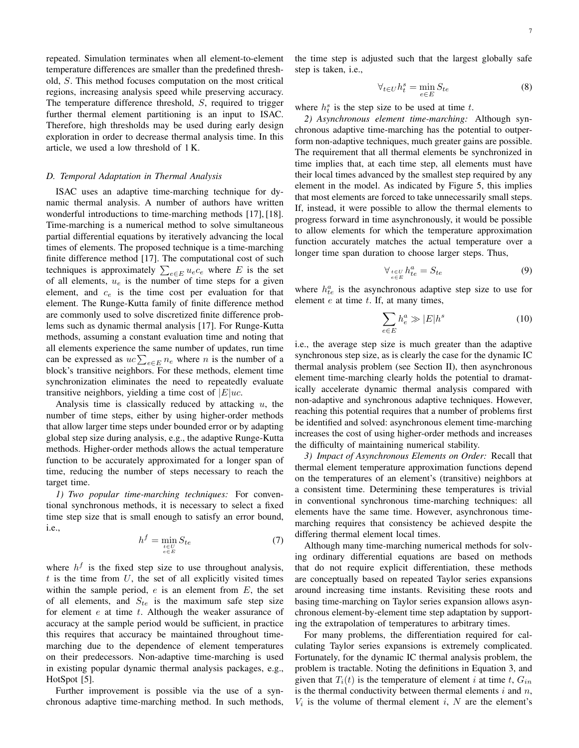repeated. Simulation terminates when all element-to-element temperature differences are smaller than the predefined threshold, S. This method focuses computation on the most critical regions, increasing analysis speed while preserving accuracy. The temperature difference threshold, S, required to trigger further thermal element partitioning is an input to ISAC. Therefore, high thresholds may be used during early design exploration in order to decrease thermal analysis time. In this article, we used a low threshold of 1 K.

# *D. Temporal Adaptation in Thermal Analysis*

ISAC uses an adaptive time-marching technique for dynamic thermal analysis. A number of authors have written wonderful introductions to time-marching methods [17], [18]. Time-marching is a numerical method to solve simultaneous partial differential equations by iteratively advancing the local times of elements. The proposed technique is a time-marching finite difference method [17]. The computational cost of such techniques is approximately  $\sum_{e \in E} u_e c_e$  where E is the set of all elements,  $u_e$  is the number of time steps for a given element, and  $c_e$  is the time cost per evaluation for that element. The Runge-Kutta family of finite difference method are commonly used to solve discretized finite difference problems such as dynamic thermal analysis [17]. For Runge-Kutta methods, assuming a constant evaluation time and noting that all elements experience the same number of updates, run time can be expressed as  $uc \sum_{e \in E} n_e$  where n is the number of a block's transitive neighbors. For these methods, element time synchronization eliminates the need to repeatedly evaluate transitive neighbors, yielding a time cost of  $|E|uc$ .

Analysis time is classically reduced by attacking  $u$ , the number of time steps, either by using higher-order methods that allow larger time steps under bounded error or by adapting global step size during analysis, e.g., the adaptive Runge-Kutta methods. Higher-order methods allows the actual temperature function to be accurately approximated for a longer span of time, reducing the number of steps necessary to reach the target time.

*1) Two popular time-marching techniques:* For conventional synchronous methods, it is necessary to select a fixed time step size that is small enough to satisfy an error bound, i.e.,

$$
h^f = \min_{\substack{t \in U \\ e \in E}} S_{te} \tag{7}
$$

where  $h<sup>f</sup>$  is the fixed step size to use throughout analysis,  $t$  is the time from  $U$ , the set of all explicitly visited times within the sample period,  $e$  is an element from  $E$ , the set of all elements, and  $S_{te}$  is the maximum safe step size for element  $e$  at time  $t$ . Although the weaker assurance of accuracy at the sample period would be sufficient, in practice this requires that accuracy be maintained throughout timemarching due to the dependence of element temperatures on their predecessors. Non-adaptive time-marching is used in existing popular dynamic thermal analysis packages, e.g., HotSpot [5].

Further improvement is possible via the use of a synchronous adaptive time-marching method. In such methods, the time step is adjusted such that the largest globally safe step is taken, i.e.,

$$
\forall_{t \in U} h_t^s = \min_{e \in E} S_{te} \tag{8}
$$

where  $h_t^s$  is the step size to be used at time t.

*2) Asynchronous element time-marching:* Although synchronous adaptive time-marching has the potential to outperform non-adaptive techniques, much greater gains are possible. The requirement that all thermal elements be synchronized in time implies that, at each time step, all elements must have their local times advanced by the smallest step required by any element in the model. As indicated by Figure 5, this implies that most elements are forced to take unnecessarily small steps. If, instead, it were possible to allow the thermal elements to progress forward in time asynchronously, it would be possible to allow elements for which the temperature approximation function accurately matches the actual temperature over a longer time span duration to choose larger steps. Thus,

$$
\forall_{\substack{e \in E \\ e \in E}} h_{te}^a = S_{te} \tag{9}
$$

where  $h_{te}^{a}$  is the asynchronous adaptive step size to use for element  $e$  at time  $t$ . If, at many times,

$$
\sum_{e \in E} h_e^a \gg |E| h^s \tag{10}
$$

i.e., the average step size is much greater than the adaptive synchronous step size, as is clearly the case for the dynamic IC thermal analysis problem (see Section II), then asynchronous element time-marching clearly holds the potential to dramatically accelerate dynamic thermal analysis compared with non-adaptive and synchronous adaptive techniques. However, reaching this potential requires that a number of problems first be identified and solved: asynchronous element time-marching increases the cost of using higher-order methods and increases the difficulty of maintaining numerical stability.

*3) Impact of Asynchronous Elements on Order:* Recall that thermal element temperature approximation functions depend on the temperatures of an element's (transitive) neighbors at a consistent time. Determining these temperatures is trivial in conventional synchronous time-marching techniques: all elements have the same time. However, asynchronous timemarching requires that consistency be achieved despite the differing thermal element local times.

Although many time-marching numerical methods for solving ordinary differential equations are based on methods that do not require explicit differentiation, these methods are conceptually based on repeated Taylor series expansions around increasing time instants. Revisiting these roots and basing time-marching on Taylor series expansion allows asynchronous element-by-element time step adaptation by supporting the extrapolation of temperatures to arbitrary times.

For many problems, the differentiation required for calculating Taylor series expansions is extremely complicated. Fortunately, for the dynamic IC thermal analysis problem, the problem is tractable. Noting the definitions in Equation 3, and given that  $T_i(t)$  is the temperature of element i at time t,  $G_{in}$ is the thermal conductivity between thermal elements  $i$  and  $n$ ,  $V_i$  is the volume of thermal element i, N are the element's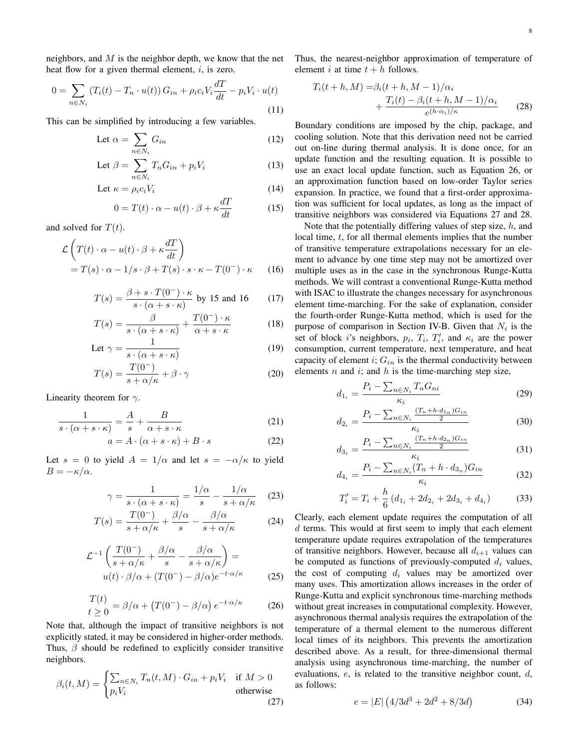neighbors, and  $M$  is the neighbor depth, we know that the net heat flow for a given thermal element,  $i$ , is zero.

$$
0 = \sum_{n \in N_i} \left( T_i(t) - T_n \cdot u(t) \right) G_{in} + \rho_i c_i V_i \frac{dT}{dt} - p_i V_i \cdot u(t)
$$
\n(11)

This can be simplified by introducing a few variables.

$$
\text{Let } \alpha = \sum_{n \in N_i} G_{in} \tag{12}
$$

Let 
$$
\beta = \sum_{n \in N_i} T_n G_{in} + p_i V_i \tag{13}
$$

Let 
$$
\kappa = \rho_i c_i V_i \tag{14}
$$

$$
0 = T(t) \cdot \alpha - u(t) \cdot \beta + \kappa \frac{dT}{dt}
$$
 (15)

and solved for  $T(t)$ .

$$
\mathcal{L}\left(T(t)\cdot\alpha - u(t)\cdot\beta + \kappa \frac{dT}{dt}\right) \n= T(s)\cdot\alpha - 1/s\cdot\beta + T(s)\cdot s\cdot\kappa - T(0^-)\cdot\kappa \qquad (16)
$$

$$
T(s) = \frac{\beta + s \cdot T(0^-) \cdot \kappa}{s \cdot (\alpha + s \cdot \kappa)} \text{ by 15 and 16} \qquad (17)
$$

$$
T(s) = \frac{\beta}{s \cdot (\alpha + s \cdot \kappa)} + \frac{T(0^-) \cdot \kappa}{\alpha + s \cdot \kappa}
$$
 (18)

Let 
$$
\gamma = \frac{1}{s \cdot (\alpha + s \cdot \kappa)}
$$
 (19)

$$
T(s) = \frac{T(0^-)}{s + \alpha/\kappa} + \beta \cdot \gamma \tag{20}
$$

Linearity theorem for  $\gamma$ .

$$
\frac{1}{s \cdot (\alpha + s \cdot \kappa)} = \frac{A}{s} + \frac{B}{\alpha + s \cdot \kappa}
$$
 (21)

$$
a = A \cdot (\alpha + s \cdot \kappa) + B \cdot s \tag{22}
$$

Let  $s = 0$  to yield  $A = 1/\alpha$  and let  $s = -\alpha/\kappa$  to yield  $B = -\kappa/\alpha$ .

$$
\gamma = \frac{1}{s \cdot (\alpha + s \cdot \kappa)} = \frac{1/\alpha}{s} - \frac{1/\alpha}{s + \alpha/\kappa} \quad (23)
$$

$$
T(s) = \frac{T(0^-)}{s + \alpha/\kappa} + \frac{\beta/\alpha}{s} - \frac{\beta/\alpha}{s + \alpha/\kappa}
$$
 (24)

$$
\mathcal{L}^{-1}\left(\frac{T(0^{-})}{s+\alpha/\kappa}+\frac{\beta/\alpha}{s}-\frac{\beta/\alpha}{s+\alpha/\kappa}\right)=\nu(t)\cdot\beta/\alpha+(T(0^{-})-\beta/\alpha)e^{-t\cdot\alpha/\kappa}
$$
 (25)

$$
\frac{T(t)}{t \ge 0} = \beta/\alpha + \left(T(0^-) - \beta/\alpha\right)e^{-t \cdot \alpha/\kappa} \tag{26}
$$

Note that, although the impact of transitive neighbors is not explicitly stated, it may be considered in higher-order methods. Thus,  $\beta$  should be redefined to explicitly consider transitive neighbors.

$$
\beta_i(t, M) = \begin{cases} \sum_{n \in N_i} T_n(t, M) \cdot G_{in} + p_i V_i & \text{if } M > 0\\ p_i V_i & \text{otherwise} \end{cases}
$$
\n(27)

Thus, the nearest-neighbor approximation of temperature of element i at time  $t + h$  follows.

$$
T_i(t+h, M) = \beta_i(t+h, M-1)/\alpha_i
$$
  
+ 
$$
\frac{T_i(t) - \beta_i(t+h, M-1)/\alpha_i}{e^{(h \cdot \alpha_i)/\kappa}}
$$
 (28)

Boundary conditions are imposed by the chip, package, and cooling solution. Note that this derivation need not be carried out on-line during thermal analysis. It is done once, for an update function and the resulting equation. It is possible to use an exact local update function, such as Equation 26, or an approximation function based on low-order Taylor series expansion. In practice, we found that a first-order approximation was sufficient for local updates, as long as the impact of transitive neighbors was considered via Equations 27 and 28.

Note that the potentially differing values of step size,  $h$ , and local time, t, for all thermal elements implies that the number of transitive temperature extrapolations necessary for an element to advance by one time step may not be amortized over multiple uses as in the case in the synchronous Runge-Kutta methods. We will contrast a conventional Runge-Kutta method with ISAC to illustrate the changes necessary for asynchronous element time-marching. For the sake of explanation, consider the fourth-order Runge-Kutta method, which is used for the purpose of comparison in Section IV-B. Given that  $N_i$  is the set of block i's neighbors,  $p_i$ ,  $T_i$ ,  $T'_i$ , and  $\kappa_i$  are the power consumption, current temperature, next temperature, and heat capacity of element  $i$ ;  $G_{in}$  is the thermal conductivity between elements  $n$  and  $i$ ; and  $h$  is the time-marching step size,

$$
d_{1_i} = \frac{P_i - \sum_{n \in N_i} T_n G_{ni}}{\kappa_i} \tag{29}
$$

$$
d_{2_i} = \frac{P_i - \sum_{n \in N_i} \frac{(T_n + h \cdot d_{1_n}) G_{in}}{2}}{\kappa_i} \tag{30}
$$

$$
d_{3_i} = \frac{P_i - \sum_{n \in N_i} \frac{(T_n + h \cdot d_{2_n}) G_{in}}{2}}{\kappa_i} \tag{31}
$$

$$
d_{4_i} = \frac{P_i - \sum_{n \in N_i} (T_n + h \cdot d_{3_n}) G_{in}}{\kappa_i}
$$
 (32)

$$
T'_{i} = T_{i} + \frac{h}{6} \left( d_{1_{i}} + 2d_{2_{i}} + 2d_{3_{i}} + d_{4_{i}} \right)
$$
 (33)

Clearly, each element update requires the computation of all d terms. This would at first seem to imply that each element temperature update requires extrapolation of the temperatures of transitive neighbors. However, because all  $d_{i+1}$  values can be computed as functions of previously-computed  $d_i$  values, the cost of computing  $d_i$  values may be amortized over many uses. This amortization allows increases in the order of Runge-Kutta and explicit synchronous time-marching methods without great increases in computational complexity. However, asynchronous thermal analysis requires the extrapolation of the temperature of a thermal element to the numerous different local times of its neighbors. This prevents the amortization described above. As a result, for three-dimensional thermal analysis using asynchronous time-marching, the number of evaluations,  $e$ , is related to the transitive neighbor count,  $d$ , as follows:

$$
e = |E| (4/3d^3 + 2d^2 + 8/3d)
$$
 (34)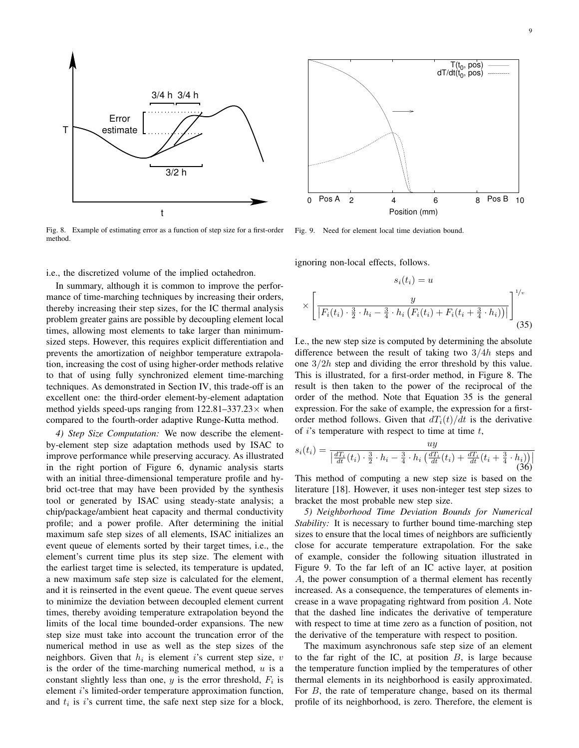

Fig. 8. Example of estimating error as a function of step size for a first-order method.

i.e., the discretized volume of the implied octahedron.

In summary, although it is common to improve the performance of time-marching techniques by increasing their orders, thereby increasing their step sizes, for the IC thermal analysis problem greater gains are possible by decoupling element local times, allowing most elements to take larger than minimumsized steps. However, this requires explicit differentiation and prevents the amortization of neighbor temperature extrapolation, increasing the cost of using higher-order methods relative to that of using fully synchronized element time-marching techniques. As demonstrated in Section IV, this trade-off is an excellent one: the third-order element-by-element adaptation method yields speed-ups ranging from  $122.81-337.23\times$  when compared to the fourth-order adaptive Runge-Kutta method.

*4) Step Size Computation:* We now describe the elementby-element step size adaptation methods used by ISAC to improve performance while preserving accuracy. As illustrated in the right portion of Figure 6, dynamic analysis starts with an initial three-dimensional temperature profile and hybrid oct-tree that may have been provided by the synthesis tool or generated by ISAC using steady-state analysis; a chip/package/ambient heat capacity and thermal conductivity profile; and a power profile. After determining the initial maximum safe step sizes of all elements, ISAC initializes an event queue of elements sorted by their target times, i.e., the element's current time plus its step size. The element with the earliest target time is selected, its temperature is updated, a new maximum safe step size is calculated for the element, and it is reinserted in the event queue. The event queue serves to minimize the deviation between decoupled element current times, thereby avoiding temperature extrapolation beyond the limits of the local time bounded-order expansions. The new step size must take into account the truncation error of the numerical method in use as well as the step sizes of the neighbors. Given that  $h_i$  is element i's current step size, v is the order of the time-marching numerical method,  $u$  is a constant slightly less than one,  $y$  is the error threshold,  $F_i$  is element *i*'s limited-order temperature approximation function, and  $t_i$  is i's current time, the safe next step size for a block,



Fig. 9. Need for element local time deviation bound.

ignoring non-local effects, follows.

$$
s_i(t_i) = u
$$
  
 
$$
\times \left[ \frac{y}{\left| F_i(t_i) \cdot \frac{3}{2} \cdot h_i - \frac{3}{4} \cdot h_i \left( F_i(t_i) + F_i(t_i + \frac{3}{4} \cdot h_i) \right) \right|} \right]^{1/v}
$$
(35)

 $\left(1, 1\right)$ 

I.e., the new step size is computed by determining the absolute difference between the result of taking two 3/4h steps and one  $3/2h$  step and dividing the error threshold by this value. This is illustrated, for a first-order method, in Figure 8. The result is then taken to the power of the reciprocal of the order of the method. Note that Equation 35 is the general expression. For the sake of example, the expression for a firstorder method follows. Given that  $dT_i(t)/dt$  is the derivative of  $i$ 's temperature with respect to time at time  $t$ ,

$$
s_i(t_i) = \frac{uy}{\left|\frac{dT_i}{dt}(t_i) \cdot \frac{3}{2} \cdot h_i - \frac{3}{4} \cdot h_i \left(\frac{dT_i}{dt}(t_i) + \frac{dT_i}{dt}(t_i + \frac{3}{4} \cdot h_i)\right)\right|}
$$
\n(36)

This method of computing a new step size is based on the literature [18]. However, it uses non-integer test step sizes to bracket the most probable new step size.

*5) Neighborhood Time Deviation Bounds for Numerical Stability:* It is necessary to further bound time-marching step sizes to ensure that the local times of neighbors are sufficiently close for accurate temperature extrapolation. For the sake of example, consider the following situation illustrated in Figure 9. To the far left of an IC active layer, at position A, the power consumption of a thermal element has recently increased. As a consequence, the temperatures of elements increase in a wave propagating rightward from position A. Note that the dashed line indicates the derivative of temperature with respect to time at time zero as a function of position, not the derivative of the temperature with respect to position.

The maximum asynchronous safe step size of an element to the far right of the IC, at position  $B$ , is large because the temperature function implied by the temperatures of other thermal elements in its neighborhood is easily approximated. For B, the rate of temperature change, based on its thermal profile of its neighborhood, is zero. Therefore, the element is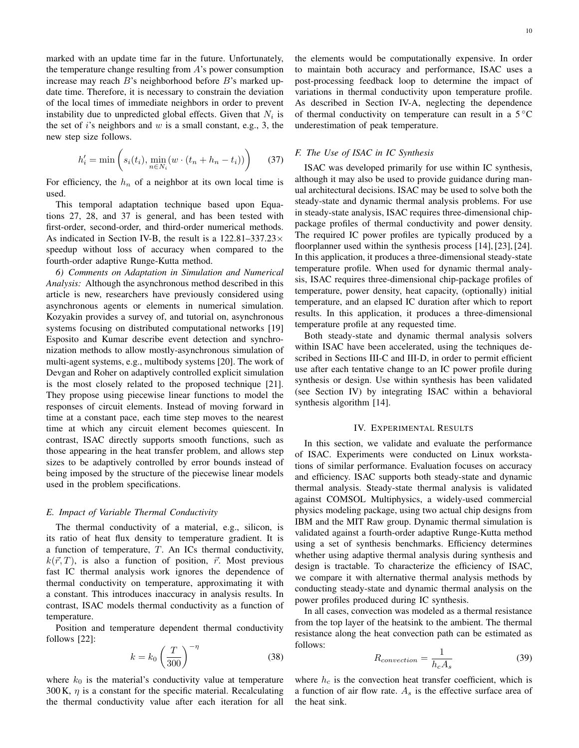marked with an update time far in the future. Unfortunately, the temperature change resulting from  $A$ 's power consumption increase may reach  $B$ 's neighborhood before  $B$ 's marked update time. Therefore, it is necessary to constrain the deviation of the local times of immediate neighbors in order to prevent instability due to unpredicted global effects. Given that  $N_i$  is the set of  $i$ 's neighbors and  $w$  is a small constant, e.g., 3, the new step size follows.

$$
h'_{i} = \min\left(s_{i}(t_{i}), \min_{n \in N_{i}}(w \cdot (t_{n} + h_{n} - t_{i}))\right) \quad (37)
$$

For efficiency, the  $h_n$  of a neighbor at its own local time is used.

This temporal adaptation technique based upon Equations 27, 28, and 37 is general, and has been tested with first-order, second-order, and third-order numerical methods. As indicated in Section IV-B, the result is a 122.81–337.23× speedup without loss of accuracy when compared to the fourth-order adaptive Runge-Kutta method.

*6) Comments on Adaptation in Simulation and Numerical Analysis:* Although the asynchronous method described in this article is new, researchers have previously considered using asynchronous agents or elements in numerical simulation. Kozyakin provides a survey of, and tutorial on, asynchronous systems focusing on distributed computational networks [19] Esposito and Kumar describe event detection and synchronization methods to allow mostly-asynchronous simulation of multi-agent systems, e.g., multibody systems [20]. The work of Devgan and Roher on adaptively controlled explicit simulation is the most closely related to the proposed technique [21]. They propose using piecewise linear functions to model the responses of circuit elements. Instead of moving forward in time at a constant pace, each time step moves to the nearest time at which any circuit element becomes quiescent. In contrast, ISAC directly supports smooth functions, such as those appearing in the heat transfer problem, and allows step sizes to be adaptively controlled by error bounds instead of being imposed by the structure of the piecewise linear models used in the problem specifications.

# *E. Impact of Variable Thermal Conductivity*

The thermal conductivity of a material, e.g., silicon, is its ratio of heat flux density to temperature gradient. It is a function of temperature,  $T$ . An ICs thermal conductivity,  $k(\vec{r}, T)$ , is also a function of position,  $\vec{r}$ . Most previous fast IC thermal analysis work ignores the dependence of thermal conductivity on temperature, approximating it with a constant. This introduces inaccuracy in analysis results. In contrast, ISAC models thermal conductivity as a function of temperature.

Position and temperature dependent thermal conductivity follows [22]:

$$
k = k_0 \left(\frac{T}{300}\right)^{-\eta} \tag{38}
$$

where  $k_0$  is the material's conductivity value at temperature 300 K,  $\eta$  is a constant for the specific material. Recalculating the thermal conductivity value after each iteration for all the elements would be computationally expensive. In order to maintain both accuracy and performance, ISAC uses a post-processing feedback loop to determine the impact of variations in thermal conductivity upon temperature profile. As described in Section IV-A, neglecting the dependence of thermal conductivity on temperature can result in a  $5^{\circ}$ C underestimation of peak temperature.

# *F. The Use of ISAC in IC Synthesis*

ISAC was developed primarily for use within IC synthesis, although it may also be used to provide guidance during manual architectural decisions. ISAC may be used to solve both the steady-state and dynamic thermal analysis problems. For use in steady-state analysis, ISAC requires three-dimensional chippackage profiles of thermal conductivity and power density. The required IC power profiles are typically produced by a floorplanner used within the synthesis process [14], [23], [24]. In this application, it produces a three-dimensional steady-state temperature profile. When used for dynamic thermal analysis, ISAC requires three-dimensional chip-package profiles of temperature, power density, heat capacity, (optionally) initial temperature, and an elapsed IC duration after which to report results. In this application, it produces a three-dimensional temperature profile at any requested time.

Both steady-state and dynamic thermal analysis solvers within ISAC have been accelerated, using the techniques described in Sections III-C and III-D, in order to permit efficient use after each tentative change to an IC power profile during synthesis or design. Use within synthesis has been validated (see Section IV) by integrating ISAC within a behavioral synthesis algorithm [14].

#### IV. EXPERIMENTAL RESULTS

In this section, we validate and evaluate the performance of ISAC. Experiments were conducted on Linux workstations of similar performance. Evaluation focuses on accuracy and efficiency. ISAC supports both steady-state and dynamic thermal analysis. Steady-state thermal analysis is validated against COMSOL Multiphysics, a widely-used commercial physics modeling package, using two actual chip designs from IBM and the MIT Raw group. Dynamic thermal simulation is validated against a fourth-order adaptive Runge-Kutta method using a set of synthesis benchmarks. Efficiency determines whether using adaptive thermal analysis during synthesis and design is tractable. To characterize the efficiency of ISAC, we compare it with alternative thermal analysis methods by conducting steady-state and dynamic thermal analysis on the power profiles produced during IC synthesis.

In all cases, convection was modeled as a thermal resistance from the top layer of the heatsink to the ambient. The thermal resistance along the heat convection path can be estimated as follows:

$$
R_{convection} = \frac{1}{h_c A_s} \tag{39}
$$

where  $h_c$  is the convection heat transfer coefficient, which is a function of air flow rate.  $A_s$  is the effective surface area of the heat sink.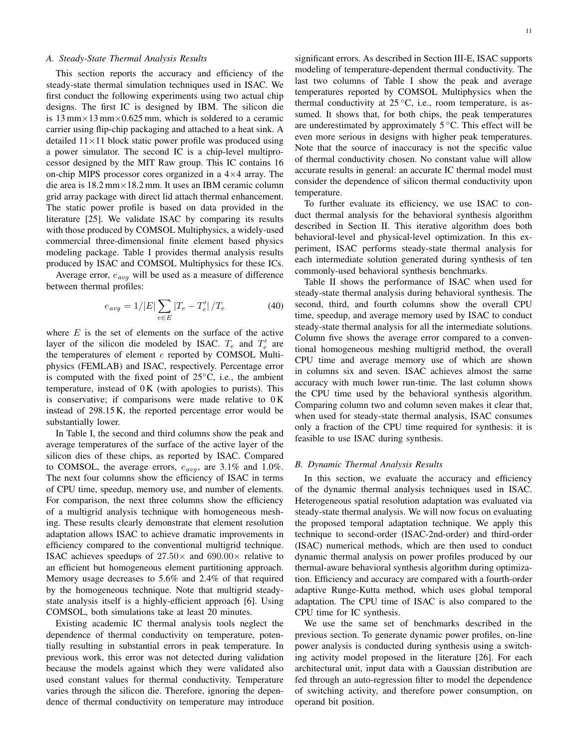#### *A. Steady-State Thermal Analysis Results*

This section reports the accuracy and efficiency of the steady-state thermal simulation techniques used in ISAC. We first conduct the following experiments using two actual chip designs. The first IC is designed by IBM. The silicon die is  $13$  mm $\times$ 13 mm $\times$ 0.625 mm, which is soldered to a ceramic carrier using flip-chip packaging and attached to a heat sink. A detailed  $11\times11$  block static power profile was produced using a power simulator. The second IC is a chip-level multiprocessor designed by the MIT Raw group. This IC contains 16 on-chip MIPS processor cores organized in a  $4\times4$  array. The die area is 18.2 mm×18.2 mm. It uses an IBM ceramic column grid array package with direct lid attach thermal enhancement. The static power profile is based on data provided in the literature [25]. We validate ISAC by comparing its results with those produced by COMSOL Multiphysics, a widely-used commercial three-dimensional finite element based physics modeling package. Table I provides thermal analysis results produced by ISAC and COMSOL Multiphysics for these ICs.

Average error,  $e_{avg}$  will be used as a measure of difference between thermal profiles:

$$
e_{avg} = 1/|E| \sum_{e \in E} |T_e - T'_e| / T_e
$$
 (40)

where  $E$  is the set of elements on the surface of the active layer of the silicon die modeled by ISAC.  $T_e$  and  $T'_e$  are the temperatures of element e reported by COMSOL Multiphysics (FEMLAB) and ISAC, respectively. Percentage error is computed with the fixed point of 25◦C, i.e., the ambient temperature, instead of  $0K$  (with apologies to purists). This is conservative; if comparisons were made relative to  $0 K$ instead of 298.15 K, the reported percentage error would be substantially lower.

In Table I, the second and third columns show the peak and average temperatures of the surface of the active layer of the silicon dies of these chips, as reported by ISAC. Compared to COMSOL, the average errors,  $e_{avg}$ , are 3.1% and 1.0%. The next four columns show the efficiency of ISAC in terms of CPU time, speedup, memory use, and number of elements. For comparison, the next three columns show the efficiency of a multigrid analysis technique with homogeneous meshing. These results clearly demonstrate that element resolution adaptation allows ISAC to achieve dramatic improvements in efficiency compared to the conventional multigrid technique. ISAC achieves speedups of  $27.50\times$  and  $690.00\times$  relative to an efficient but homogeneous element partitioning approach. Memory usage decreases to 5.6% and 2.4% of that required by the homogeneous technique. Note that multigrid steadystate analysis itself is a highly-efficient approach [6]. Using COMSOL, both simulations take at least 20 minutes.

Existing academic IC thermal analysis tools neglect the dependence of thermal conductivity on temperature, potentially resulting in substantial errors in peak temperature. In previous work, this error was not detected during validation because the models against which they were validated also used constant values for thermal conductivity. Temperature varies through the silicon die. Therefore, ignoring the dependence of thermal conductivity on temperature may introduce

last two columns of Table I show the peak and average temperatures reported by COMSOL Multiphysics when the thermal conductivity at  $25^{\circ}$ C, i.e., room temperature, is assumed. It shows that, for both chips, the peak temperatures are underestimated by approximately  $5^{\circ}$ C. This effect will be even more serious in designs with higher peak temperatures. Note that the source of inaccuracy is not the specific value of thermal conductivity chosen. No constant value will allow accurate results in general: an accurate IC thermal model must consider the dependence of silicon thermal conductivity upon temperature.

To further evaluate its efficiency, we use ISAC to conduct thermal analysis for the behavioral synthesis algorithm described in Section II. This iterative algorithm does both behavioral-level and physical-level optimization. In this experiment, ISAC performs steady-state thermal analysis for each intermediate solution generated during synthesis of ten commonly-used behavioral synthesis benchmarks.

Table II shows the performance of ISAC when used for steady-state thermal analysis during behavioral synthesis. The second, third, and fourth columns show the overall CPU time, speedup, and average memory used by ISAC to conduct steady-state thermal analysis for all the intermediate solutions. Column five shows the average error compared to a conventional homogeneous meshing multigrid method, the overall CPU time and average memory use of which are shown in columns six and seven. ISAC achieves almost the same accuracy with much lower run-time. The last column shows the CPU time used by the behavioral synthesis algorithm. Comparing column two and column seven makes it clear that, when used for steady-state thermal analysis, ISAC consumes only a fraction of the CPU time required for synthesis: it is feasible to use ISAC during synthesis.

#### *B. Dynamic Thermal Analysis Results*

In this section, we evaluate the accuracy and efficiency of the dynamic thermal analysis techniques used in ISAC. Heterogeneous spatial resolution adaptation was evaluated via steady-state thermal analysis. We will now focus on evaluating the proposed temporal adaptation technique. We apply this technique to second-order (ISAC-2nd-order) and third-order (ISAC) numerical methods, which are then used to conduct dynamic thermal analysis on power profiles produced by our thermal-aware behavioral synthesis algorithm during optimization. Efficiency and accuracy are compared with a fourth-order adaptive Runge-Kutta method, which uses global temporal adaptation. The CPU time of ISAC is also compared to the CPU time for IC synthesis.

We use the same set of benchmarks described in the previous section. To generate dynamic power profiles, on-line power analysis is conducted during synthesis using a switching activity model proposed in the literature [26]. For each architectural unit, input data with a Gaussian distribution are fed through an auto-regression filter to model the dependence of switching activity, and therefore power consumption, on operand bit position.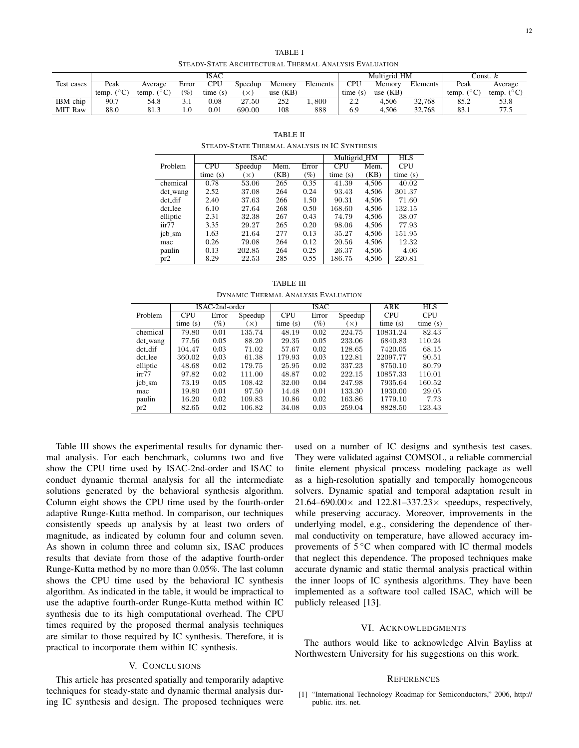TABLE I STEADY-STATE ARCHITECTURAL THERMAL ANALYSIS EVALUATION

|            |                                 |               |                 | ISAC    |          |            | Multigrid_HM | $l$ onst. $k$  |            |          |                        |                     |
|------------|---------------------------------|---------------|-----------------|---------|----------|------------|--------------|----------------|------------|----------|------------------------|---------------------|
| Test cases | Peak                            | Average       | Error           | CPU     | Speedup  | Memorv     | Elements     | CPU            | Memory     | Elements | Peak                   | Average             |
|            | $({}^\circ\mathrm{C})$<br>temp. | ر می<br>temp. | $\mathscr{C}_o$ | time(s) | $\times$ | use $(KB)$ |              | time<br>(S)    | use $(KB)$ |          | $(^{\circ}C)$<br>temp. | temp. $(^{\circ}C)$ |
| IBM chip   | 90.7                            | 54.8          |                 | 0.08    | 27.50    | 252        | 800          | າາ<br><u>.</u> | 4.506      | 32.768   | 85.2                   | 53.8                |
| MIT<br>Raw | 88.0                            | 81.3          |                 | 0.01    | 690.00   | 108        | 888          | 6.9            | 4.506      | 32.768   | 83.1                   | ن ،                 |

|  |  | TABLE II |  |  |  |  |  |  |  |  |
|--|--|----------|--|--|--|--|--|--|--|--|
|  |  |          |  |  |  |  |  |  |  |  |

STEADY-STATE THERMAL ANALYSIS IN IC SYNTHESIS

|          |            | <b>ISAC</b> |      |        | Multigrid_HM |       | <b>HLS</b> |
|----------|------------|-------------|------|--------|--------------|-------|------------|
| Problem  | <b>CPU</b> | Speedup     | Mem. | Error  | <b>CPU</b>   | Mem.  | <b>CPU</b> |
|          | time(s)    | $(\times)$  | (KB) | $(\%)$ | time(s)      | (KB)  | time(s)    |
| chemical | 0.78       | 53.06       | 265  | 0.35   | 41.39        | 4,506 | 40.02      |
| dct_wang | 2.52       | 37.08       | 264  | 0.24   | 93.43        | 4,506 | 301.37     |
| dct_dif  | 2.40       | 37.63       | 266  | 1.50   | 90.31        | 4,506 | 71.60      |
| dct_lee  | 6.10       | 27.64       | 268  | 0.50   | 168.60       | 4,506 | 132.15     |
| elliptic | 2.31       | 32.38       | 267  | 0.43   | 74.79        | 4,506 | 38.07      |
| iir77    | 3.35       | 29.27       | 265  | 0.20   | 98.06        | 4,506 | 77.93      |
| jcb_sm   | 1.63       | 21.64       | 277  | 0.13   | 35.27        | 4,506 | 151.95     |
| mac      | 0.26       | 79.08       | 264  | 0.12   | 20.56        | 4,506 | 12.32      |
| paulin   | 0.13       | 202.85      | 264  | 0.25   | 26.37        | 4,506 | 4.06       |
| pr2      | 8.29       | 22.53       | 285  | 0.55   | 186.75       | 4,506 | 220.81     |

TABLE III DYNAMIC THERMAL ANALYSIS EVALUATION

|                  |            | ISAC-2nd-order |            |            | <b>ISAC</b> | ARK        | <b>HLS</b> |            |
|------------------|------------|----------------|------------|------------|-------------|------------|------------|------------|
| Problem          | <b>CPU</b> | Error          | Speedup    | <b>CPU</b> | Error       | Speedup    | <b>CPU</b> | <b>CPU</b> |
|                  | time(s)    | $(\%)$         | $(\times)$ | time(s)    | $(\%)$      | $(\times)$ | time(s)    | time(s)    |
| chemical         | 79.80      | 0.01           | 135.74     | 48.19      | 0.02        | 224.75     | 10831.24   | 82.43      |
| dct_wang         | 77.56      | 0.05           | 88.20      | 29.35      | 0.05        | 233.06     | 6840.83    | 110.24     |
| $det_d$          | 104.47     | 0.03           | 71.02      | 57.67      | 0.02        | 128.65     | 7420.05    | 68.15      |
| dct_lee          | 360.02     | 0.03           | 61.38      | 179.93     | 0.03        | 122.81     | 22097.77   | 90.51      |
| elliptic         | 48.68      | 0.02           | 179.75     | 25.95      | 0.02        | 337.23     | 8750.10    | 80.79      |
| irr77            | 97.82      | 0.02           | 111.00     | 48.87      | 0.02        | 222.15     | 10857.33   | 110.01     |
| $\text{icb}$ _sm | 73.19      | 0.05           | 108.42     | 32.00      | 0.04        | 247.98     | 7935.64    | 160.52     |
| mac              | 19.80      | 0.01           | 97.50      | 14.48      | 0.01        | 133.30     | 1930.00    | 29.05      |
| paulin           | 16.20      | 0.02           | 109.83     | 10.86      | 0.02        | 163.86     | 1779.10    | 7.73       |
| pr2              | 82.65      | 0.02           | 106.82     | 34.08      | 0.03        | 259.04     | 8828.50    | 123.43     |

Table III shows the experimental results for dynamic thermal analysis. For each benchmark, columns two and five show the CPU time used by ISAC-2nd-order and ISAC to conduct dynamic thermal analysis for all the intermediate solutions generated by the behavioral synthesis algorithm. Column eight shows the CPU time used by the fourth-order adaptive Runge-Kutta method. In comparison, our techniques consistently speeds up analysis by at least two orders of magnitude, as indicated by column four and column seven. As shown in column three and column six, ISAC produces results that deviate from those of the adaptive fourth-order Runge-Kutta method by no more than 0.05%. The last column shows the CPU time used by the behavioral IC synthesis algorithm. As indicated in the table, it would be impractical to use the adaptive fourth-order Runge-Kutta method within IC synthesis due to its high computational overhead. The CPU times required by the proposed thermal analysis techniques are similar to those required by IC synthesis. Therefore, it is practical to incorporate them within IC synthesis.

# V. CONCLUSIONS

This article has presented spatially and temporarily adaptive techniques for steady-state and dynamic thermal analysis during IC synthesis and design. The proposed techniques were used on a number of IC designs and synthesis test cases. They were validated against COMSOL, a reliable commercial finite element physical process modeling package as well as a high-resolution spatially and temporally homogeneous solvers. Dynamic spatial and temporal adaptation result in 21.64–690.00 $\times$  and 122.81–337.23 $\times$  speedups, respectively, while preserving accuracy. Moreover, improvements in the underlying model, e.g., considering the dependence of thermal conductivity on temperature, have allowed accuracy improvements of  $5^{\circ}$ C when compared with IC thermal models that neglect this dependence. The proposed techniques make accurate dynamic and static thermal analysis practical within the inner loops of IC synthesis algorithms. They have been implemented as a software tool called ISAC, which will be publicly released [13].

## VI. ACKNOWLEDGMENTS

The authors would like to acknowledge Alvin Bayliss at Northwestern University for his suggestions on this work.

#### **REFERENCES**

[1] "International Technology Roadmap for Semiconductors," 2006, http:// public. itrs. net.